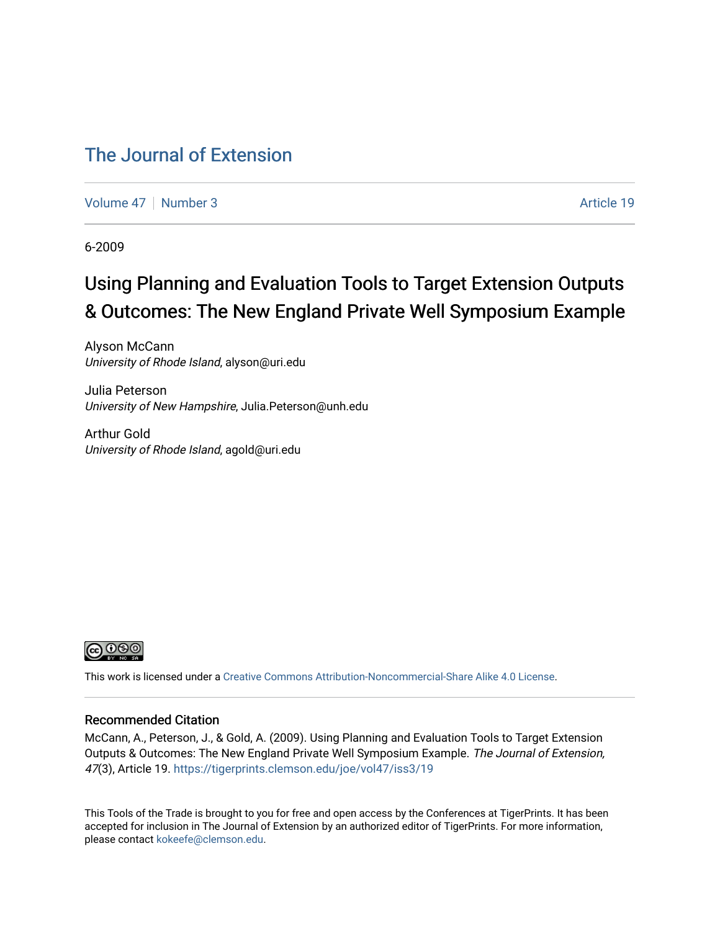### [The Journal of Extension](https://tigerprints.clemson.edu/joe)

[Volume 47](https://tigerprints.clemson.edu/joe/vol47) | [Number 3](https://tigerprints.clemson.edu/joe/vol47/iss3) Article 19

6-2009

# Using Planning and Evaluation Tools to Target Extension Outputs & Outcomes: The New England Private Well Symposium Example

Alyson McCann University of Rhode Island, alyson@uri.edu

Julia Peterson University of New Hampshire, Julia.Peterson@unh.edu

Arthur Gold University of Rhode Island, agold@uri.edu



This work is licensed under a [Creative Commons Attribution-Noncommercial-Share Alike 4.0 License.](https://creativecommons.org/licenses/by-nc-sa/4.0/)

#### Recommended Citation

McCann, A., Peterson, J., & Gold, A. (2009). Using Planning and Evaluation Tools to Target Extension Outputs & Outcomes: The New England Private Well Symposium Example. The Journal of Extension, 47(3), Article 19. <https://tigerprints.clemson.edu/joe/vol47/iss3/19>

This Tools of the Trade is brought to you for free and open access by the Conferences at TigerPrints. It has been accepted for inclusion in The Journal of Extension by an authorized editor of TigerPrints. For more information, please contact [kokeefe@clemson.edu](mailto:kokeefe@clemson.edu).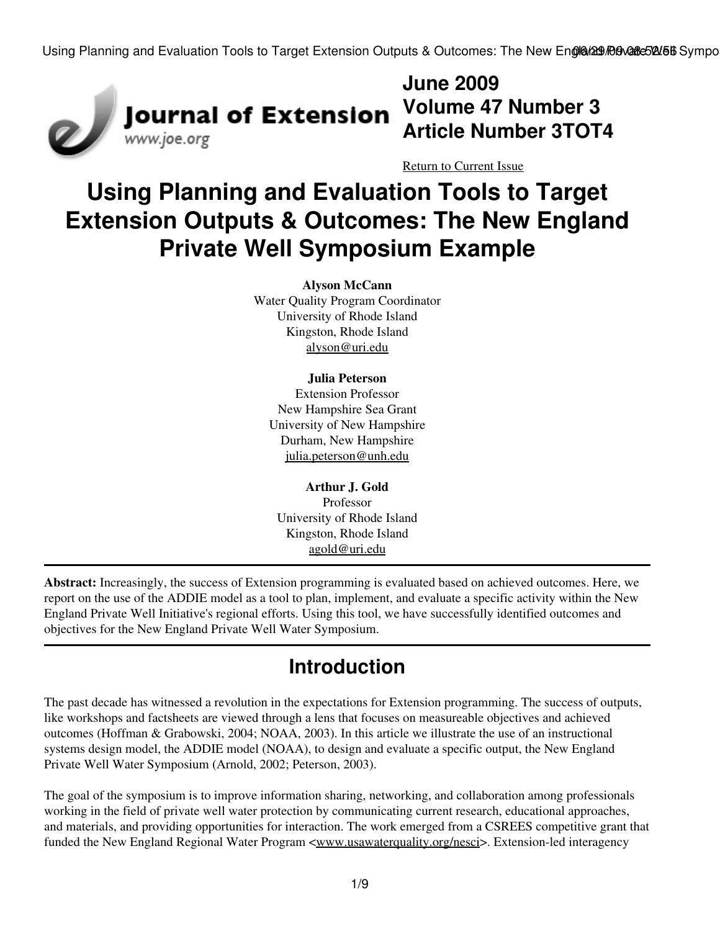

**June 2009 Article Number 3TOT4**

[Return to Current Issue](http://www.joe.org:80/joe/2009june/)

# **Using Planning and Evaluation Tools to Target Extension Outputs & Outcomes: The New England Private Well Symposium Example**

**Alyson McCann** Water Quality Program Coordinator University of Rhode Island Kingston, Rhode Island [alyson@uri.edu](mailto:alyson@uri.edu)

#### **Julia Peterson**

Extension Professor New Hampshire Sea Grant University of New Hampshire Durham, New Hampshire [julia.peterson@unh.edu](mailto:julia.peterson@unh.edu)

**Arthur J. Gold** Professor University of Rhode Island Kingston, Rhode Island [agold@uri.edu](mailto:agold@uri.edu)

**Abstract:** Increasingly, the success of Extension programming is evaluated based on achieved outcomes. Here, we report on the use of the ADDIE model as a tool to plan, implement, and evaluate a specific activity within the New England Private Well Initiative's regional efforts. Using this tool, we have successfully identified outcomes and objectives for the New England Private Well Water Symposium.

# **Introduction**

The past decade has witnessed a revolution in the expectations for Extension programming. The success of outputs, like workshops and factsheets are viewed through a lens that focuses on measureable objectives and achieved outcomes (Hoffman & Grabowski, 2004; NOAA, 2003). In this article we illustrate the use of an instructional systems design model, the ADDIE model (NOAA), to design and evaluate a specific output, the New England Private Well Water Symposium (Arnold, 2002; Peterson, 2003).

The goal of the symposium is to improve information sharing, networking, and collaboration among professionals working in the field of private well water protection by communicating current research, educational approaches, and materials, and providing opportunities for interaction. The work emerged from a CSREES competitive grant that funded the New England Regional Water Program <<u>[www.usawaterquality.org/nesci](http://www.usawaterquality.org/nesci)</u>>. Extension-led interagency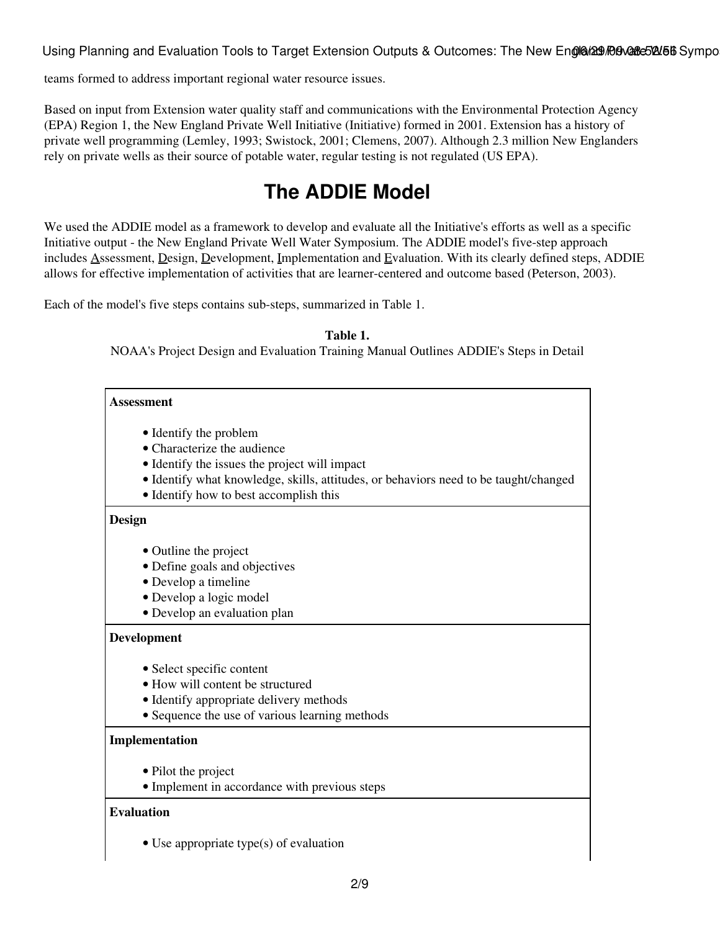teams formed to address important regional water resource issues.

Based on input from Extension water quality staff and communications with the Environmental Protection Agency (EPA) Region 1, the New England Private Well Initiative (Initiative) formed in 2001. Extension has a history of private well programming (Lemley, 1993; Swistock, 2001; Clemens, 2007). Although 2.3 million New Englanders rely on private wells as their source of potable water, regular testing is not regulated (US EPA).

# **The ADDIE Model**

We used the ADDIE model as a framework to develop and evaluate all the Initiative's efforts as well as a specific Initiative output - the New England Private Well Water Symposium. The ADDIE model's five-step approach includes Assessment, Design, Development, Implementation and Evaluation. With its clearly defined steps, ADDIE allows for effective implementation of activities that are learner-centered and outcome based (Peterson, 2003).

Each of the model's five steps contains sub-steps, summarized in Table 1.

**Table 1.**

NOAA's Project Design and Evaluation Training Manual Outlines ADDIE's Steps in Detail

| <b>Assessment</b>                                                                    |
|--------------------------------------------------------------------------------------|
| • Identify the problem                                                               |
| • Characterize the audience                                                          |
| • Identify the issues the project will impact                                        |
| • Identify what knowledge, skills, attitudes, or behaviors need to be taught/changed |
| • Identify how to best accomplish this                                               |
| Design                                                                               |
| • Outline the project                                                                |
| • Define goals and objectives                                                        |
| · Develop a timeline                                                                 |
| · Develop a logic model                                                              |
| · Develop an evaluation plan                                                         |
| <b>Development</b>                                                                   |
| • Select specific content                                                            |
| • How will content be structured                                                     |
| • Identify appropriate delivery methods                                              |
| • Sequence the use of various learning methods                                       |
| Implementation                                                                       |
| • Pilot the project                                                                  |
| • Implement in accordance with previous steps                                        |
| <b>Evaluation</b>                                                                    |
| $\bullet$ Use appropriate type(s) of evaluation                                      |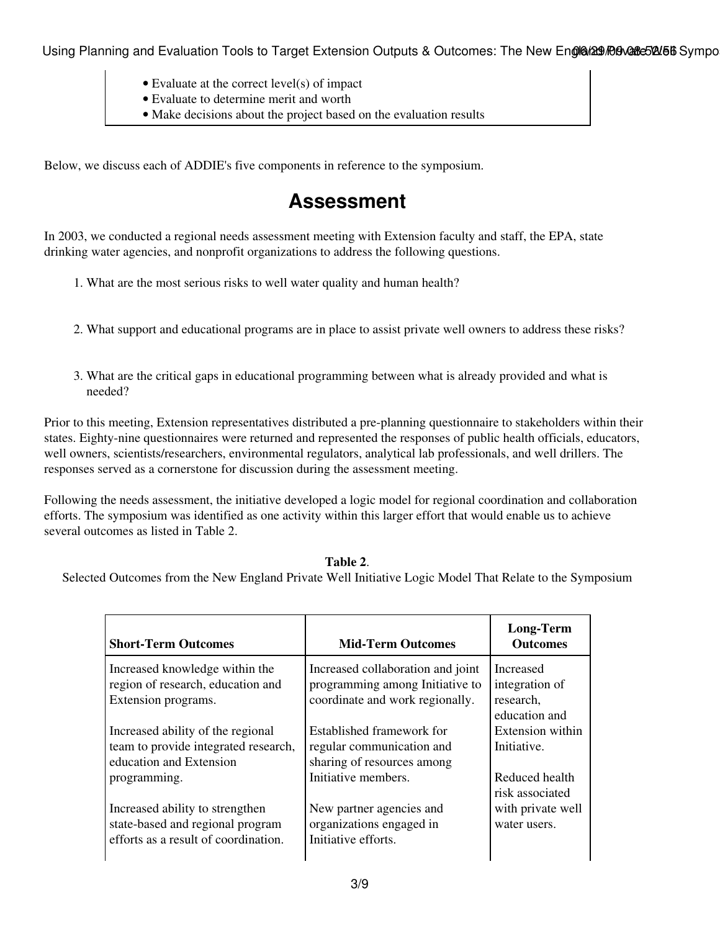- Evaluate at the correct level(s) of impact
- Evaluate to determine merit and worth
- Make decisions about the project based on the evaluation results

Below, we discuss each of ADDIE's five components in reference to the symposium.

### **Assessment**

In 2003, we conducted a regional needs assessment meeting with Extension faculty and staff, the EPA, state drinking water agencies, and nonprofit organizations to address the following questions.

- 1. What are the most serious risks to well water quality and human health?
- 2. What support and educational programs are in place to assist private well owners to address these risks?
- What are the critical gaps in educational programming between what is already provided and what is 3. needed?

Prior to this meeting, Extension representatives distributed a pre-planning questionnaire to stakeholders within their states. Eighty-nine questionnaires were returned and represented the responses of public health officials, educators, well owners, scientists/researchers, environmental regulators, analytical lab professionals, and well drillers. The responses served as a cornerstone for discussion during the assessment meeting.

Following the needs assessment, the initiative developed a logic model for regional coordination and collaboration efforts. The symposium was identified as one activity within this larger effort that would enable us to achieve several outcomes as listed in Table 2.

#### **Table 2**.

Selected Outcomes from the New England Private Well Initiative Logic Model That Relate to the Symposium

| <b>Short-Term Outcomes</b>                                                                                                  | <b>Mid-Term Outcomes</b>                                                                                | <b>Long-Term</b><br><b>Outcomes</b>                                    |
|-----------------------------------------------------------------------------------------------------------------------------|---------------------------------------------------------------------------------------------------------|------------------------------------------------------------------------|
| Increased knowledge within the<br>region of research, education and<br>Extension programs.                                  | Increased collaboration and joint<br>programming among Initiative to<br>coordinate and work regionally. | <b>Increased</b><br>integration of<br>research,<br>education and       |
| Increased ability of the regional<br>team to provide integrated research,<br>education and Extension                        | Established framework for<br>regular communication and<br>sharing of resources among                    | Extension within<br>Initiative.                                        |
| programming.<br>Increased ability to strengthen<br>state-based and regional program<br>efforts as a result of coordination. | Initiative members.<br>New partner agencies and<br>organizations engaged in<br>Initiative efforts.      | Reduced health<br>risk associated<br>with private well<br>water users. |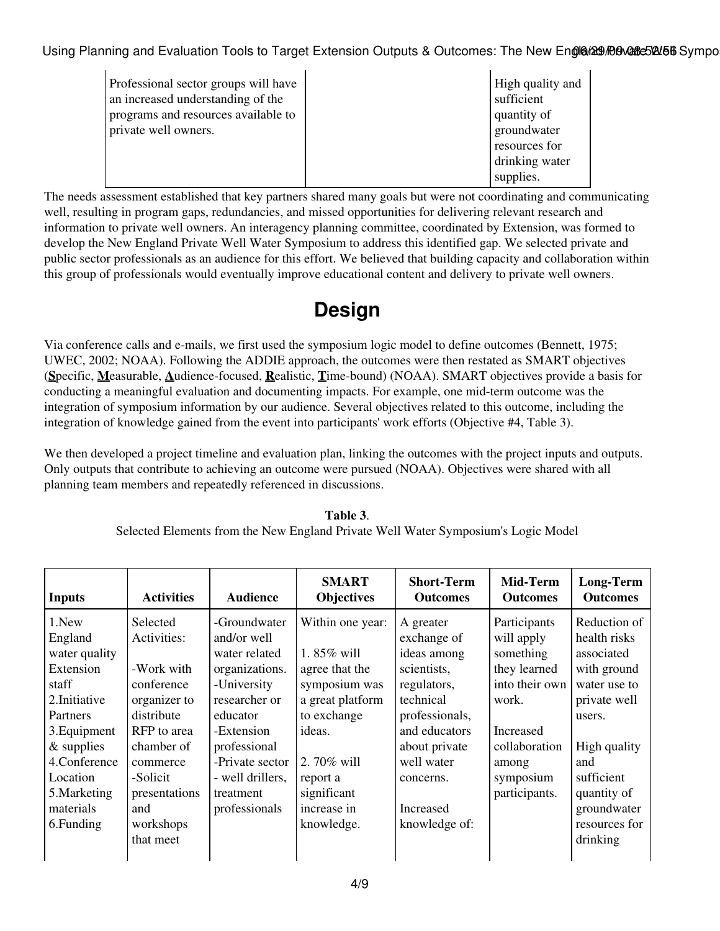| Professional sector groups will have<br>an increased understanding of the<br>programs and resources available to<br>private well owners. | High quality and<br>sufficient<br>quantity of<br>groundwater |
|------------------------------------------------------------------------------------------------------------------------------------------|--------------------------------------------------------------|
|                                                                                                                                          | resources for<br>drinking water                              |
|                                                                                                                                          | supplies.                                                    |

The needs assessment established that key partners shared many goals but were not coordinating and communicating well, resulting in program gaps, redundancies, and missed opportunities for delivering relevant research and information to private well owners. An interagency planning committee, coordinated by Extension, was formed to develop the New England Private Well Water Symposium to address this identified gap. We selected private and public sector professionals as an audience for this effort. We believed that building capacity and collaboration within this group of professionals would eventually improve educational content and delivery to private well owners.

# **Design**

Via conference calls and e-mails, we first used the symposium logic model to define outcomes (Bennett, 1975; UWEC, 2002; NOAA). Following the ADDIE approach, the outcomes were then restated as SMART objectives (**S**pecific, **M**easurable, **A**udience-focused, **R**ealistic, **T**ime-bound) (NOAA). SMART objectives provide a basis for conducting a meaningful evaluation and documenting impacts. For example, one mid-term outcome was the integration of symposium information by our audience. Several objectives related to this outcome, including the integration of knowledge gained from the event into participants' work efforts (Objective #4, Table 3).

We then developed a project timeline and evaluation plan, linking the outcomes with the project inputs and outputs. Only outputs that contribute to achieving an outcome were pursued (NOAA). Objectives were shared with all planning team members and repeatedly referenced in discussions.

| <b>Inputs</b>                                                                                                                                                                               | <b>Activities</b>                                                                                                                                                                        | <b>Audience</b>                                                                                                                                                                                               | <b>SMART</b><br><b>Objectives</b>                                                                                                                                                    | <b>Short-Term</b><br><b>Outcomes</b>                                                                                                                                                            | Mid-Term<br><b>Outcomes</b>                                                                                                                             | <b>Long-Term</b><br><b>Outcomes</b>                                                                                                                                                                 |
|---------------------------------------------------------------------------------------------------------------------------------------------------------------------------------------------|------------------------------------------------------------------------------------------------------------------------------------------------------------------------------------------|---------------------------------------------------------------------------------------------------------------------------------------------------------------------------------------------------------------|--------------------------------------------------------------------------------------------------------------------------------------------------------------------------------------|-------------------------------------------------------------------------------------------------------------------------------------------------------------------------------------------------|---------------------------------------------------------------------------------------------------------------------------------------------------------|-----------------------------------------------------------------------------------------------------------------------------------------------------------------------------------------------------|
| 1.New<br>England<br>water quality<br>Extension<br>staff<br>2. Initiative<br>Partners<br>3. Equipment<br>$&$ supplies<br>4.Conference<br>Location<br>5. Marketing<br>materials<br>6. Funding | Selected<br>Activities:<br>-Work with<br>conference<br>organizer to<br>distribute<br>RFP to area<br>chamber of<br>commerce<br>-Solicit<br>presentations<br>and<br>workshops<br>that meet | -Groundwater<br>and/or well<br>water related<br>organizations.<br>-University<br>researcher or<br>educator<br>-Extension<br>professional<br>-Private sector<br>- well drillers,<br>treatment<br>professionals | Within one year:<br>1.85% will<br>agree that the<br>symposium was<br>a great platform<br>to exchange<br>ideas.<br>2.70% will<br>report a<br>significant<br>increase in<br>knowledge. | A greater<br>exchange of<br>ideas among<br>scientists,<br>regulators,<br>technical<br>professionals,<br>and educators<br>about private<br>well water<br>concerns.<br>Increased<br>knowledge of: | Participants<br>will apply<br>something<br>they learned<br>into their own<br>work.<br>Increased<br>collaboration<br>among<br>symposium<br>participants. | Reduction of<br>health risks<br>associated<br>with ground<br>water use to<br>private well<br>users.<br>High quality<br>and<br>sufficient<br>quantity of<br>groundwater<br>resources for<br>drinking |

**Table 3**. Selected Elements from the New England Private Well Water Symposium's Logic Model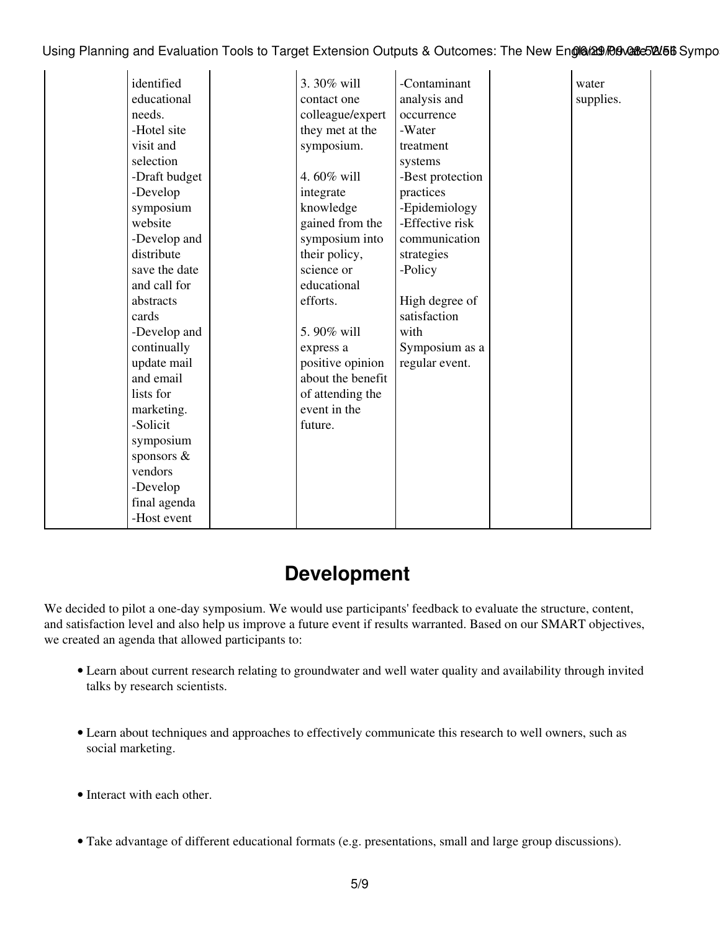| identified    | 3.30% will        | -Contaminant     | water     |
|---------------|-------------------|------------------|-----------|
| educational   | contact one       | analysis and     | supplies. |
| needs.        | colleague/expert  | occurrence       |           |
| -Hotel site   | they met at the   | -Water           |           |
| visit and     | symposium.        | treatment        |           |
| selection     |                   | systems          |           |
| -Draft budget | 4.60% will        | -Best protection |           |
| -Develop      | integrate         | practices        |           |
| symposium     | knowledge         | -Epidemiology    |           |
| website       | gained from the   | -Effective risk  |           |
| -Develop and  | symposium into    | communication    |           |
| distribute    | their policy,     | strategies       |           |
| save the date | science or        | -Policy          |           |
| and call for  | educational       |                  |           |
| abstracts     | efforts.          | High degree of   |           |
| cards         |                   | satisfaction     |           |
| -Develop and  | 5.90% will        | with             |           |
| continually   | express a         | Symposium as a   |           |
| update mail   | positive opinion  | regular event.   |           |
| and email     | about the benefit |                  |           |
| lists for     | of attending the  |                  |           |
| marketing.    | event in the      |                  |           |
| -Solicit      | future.           |                  |           |
| symposium     |                   |                  |           |
| sponsors &    |                   |                  |           |
| vendors       |                   |                  |           |
| -Develop      |                   |                  |           |
| final agenda  |                   |                  |           |
| -Host event   |                   |                  |           |

### **Development**

We decided to pilot a one-day symposium. We would use participants' feedback to evaluate the structure, content, and satisfaction level and also help us improve a future event if results warranted. Based on our SMART objectives, we created an agenda that allowed participants to:

- Learn about current research relating to groundwater and well water quality and availability through invited talks by research scientists.
- Learn about techniques and approaches to effectively communicate this research to well owners, such as social marketing.
- Interact with each other.
- Take advantage of different educational formats (e.g. presentations, small and large group discussions).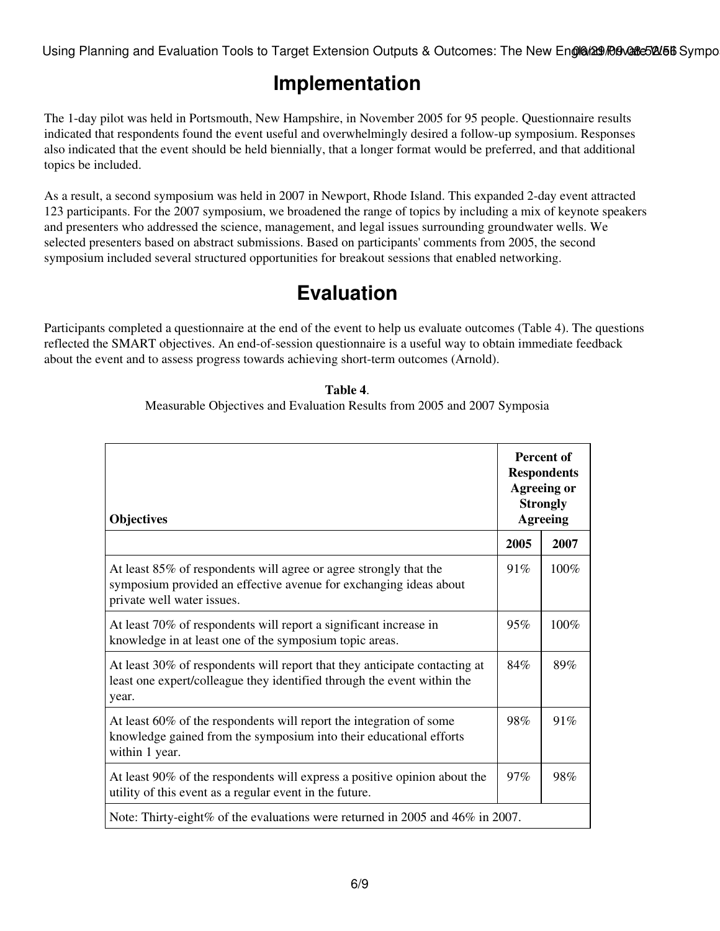# **Implementation**

The 1-day pilot was held in Portsmouth, New Hampshire, in November 2005 for 95 people. Questionnaire results indicated that respondents found the event useful and overwhelmingly desired a follow-up symposium. Responses also indicated that the event should be held biennially, that a longer format would be preferred, and that additional topics be included.

As a result, a second symposium was held in 2007 in Newport, Rhode Island. This expanded 2-day event attracted 123 participants. For the 2007 symposium, we broadened the range of topics by including a mix of keynote speakers and presenters who addressed the science, management, and legal issues surrounding groundwater wells. We selected presenters based on abstract submissions. Based on participants' comments from 2005, the second symposium included several structured opportunities for breakout sessions that enabled networking.

# **Evaluation**

Participants completed a questionnaire at the end of the event to help us evaluate outcomes (Table 4). The questions reflected the SMART objectives. An end-of-session questionnaire is a useful way to obtain immediate feedback about the event and to assess progress towards achieving short-term outcomes (Arnold).

#### **Table 4**. Measurable Objectives and Evaluation Results from 2005 and 2007 Symposia

| <b>Objectives</b>                                                                                                                                                    | Percent of<br><b>Respondents</b><br><b>Agreeing or</b><br><b>Strongly</b><br><b>Agreeing</b> |      |
|----------------------------------------------------------------------------------------------------------------------------------------------------------------------|----------------------------------------------------------------------------------------------|------|
|                                                                                                                                                                      | 2005                                                                                         | 2007 |
| At least 85% of respondents will agree or agree strongly that the<br>symposium provided an effective avenue for exchanging ideas about<br>private well water issues. | 91%                                                                                          | 100% |
| At least 70% of respondents will report a significant increase in<br>knowledge in at least one of the symposium topic areas.                                         | 95%                                                                                          | 100% |
| At least 30% of respondents will report that they anticipate contacting at<br>least one expert/colleague they identified through the event within the<br>year.       | 84%                                                                                          | 89%  |
| At least 60% of the respondents will report the integration of some<br>knowledge gained from the symposium into their educational efforts<br>within 1 year.          | 98%                                                                                          | 91%  |
| At least 90% of the respondents will express a positive opinion about the<br>utility of this event as a regular event in the future.                                 | 97%                                                                                          | 98%  |
| Note: Thirty-eight% of the evaluations were returned in 2005 and 46% in 2007.                                                                                        |                                                                                              |      |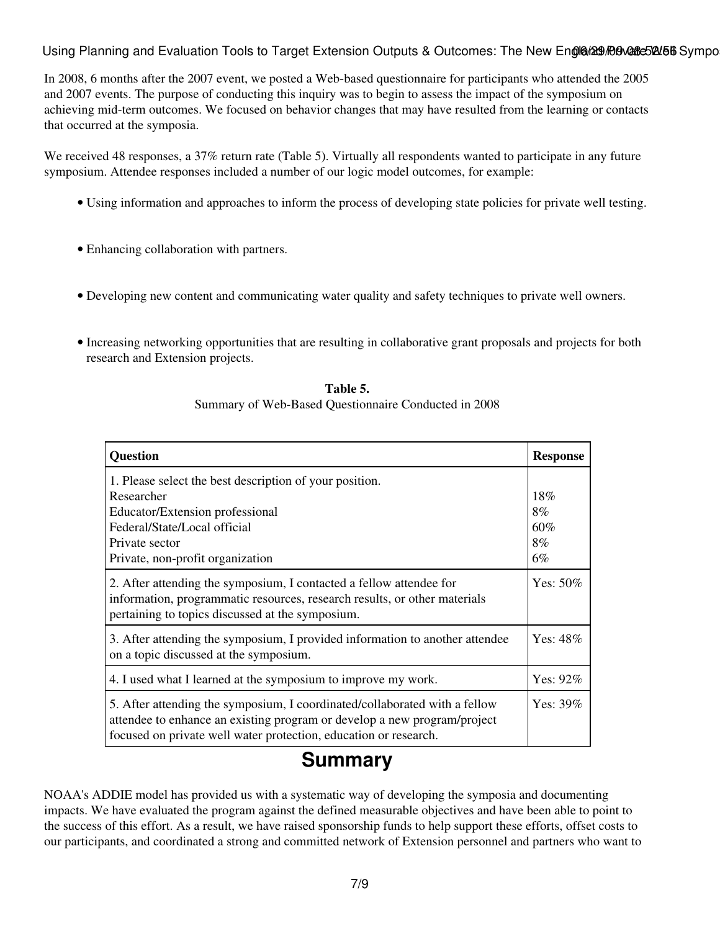In 2008, 6 months after the 2007 event, we posted a Web-based questionnaire for participants who attended the 2005 and 2007 events. The purpose of conducting this inquiry was to begin to assess the impact of the symposium on achieving mid-term outcomes. We focused on behavior changes that may have resulted from the learning or contacts that occurred at the symposia.

We received 48 responses, a 37% return rate (Table 5). Virtually all respondents wanted to participate in any future symposium. Attendee responses included a number of our logic model outcomes, for example:

- Using information and approaches to inform the process of developing state policies for private well testing.
- Enhancing collaboration with partners.
- Developing new content and communicating water quality and safety techniques to private well owners.
- Increasing networking opportunities that are resulting in collaborative grant proposals and projects for both research and Extension projects.

| <b>Question</b>                                                                                                                                                                                                            | <b>Response</b>              |
|----------------------------------------------------------------------------------------------------------------------------------------------------------------------------------------------------------------------------|------------------------------|
| 1. Please select the best description of your position.<br>Researcher<br>Educator/Extension professional<br>Federal/State/Local official<br>Private sector<br>Private, non-profit organization                             | 18%<br>8%<br>60%<br>8%<br>6% |
| 2. After attending the symposium, I contacted a fellow attendee for<br>information, programmatic resources, research results, or other materials<br>pertaining to topics discussed at the symposium.                       | Yes: $50\%$                  |
| 3. After attending the symposium, I provided information to another attendee<br>on a topic discussed at the symposium.                                                                                                     | Yes: $48\%$                  |
| 4. I used what I learned at the symposium to improve my work.                                                                                                                                                              | Yes: $92\%$                  |
| 5. After attending the symposium, I coordinated/collaborated with a fellow<br>attendee to enhance an existing program or develop a new program/project<br>focused on private well water protection, education or research. | Yes: $39\%$                  |

**Table 5.** Summary of Web-Based Questionnaire Conducted in 2008

### **Summary**

NOAA's ADDIE model has provided us with a systematic way of developing the symposia and documenting impacts. We have evaluated the program against the defined measurable objectives and have been able to point to the success of this effort. As a result, we have raised sponsorship funds to help support these efforts, offset costs to our participants, and coordinated a strong and committed network of Extension personnel and partners who want to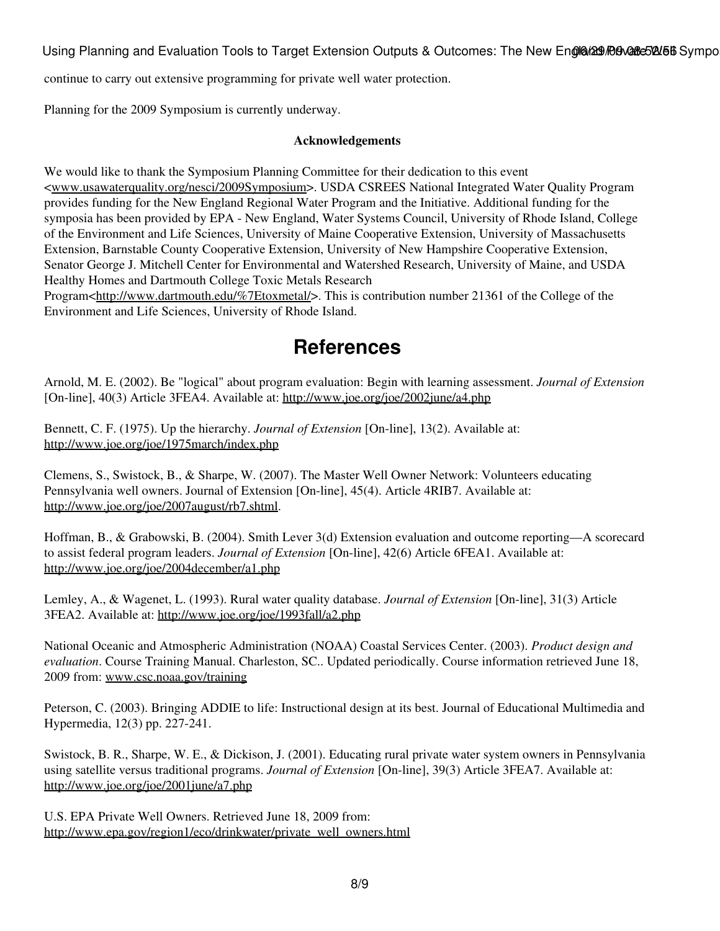continue to carry out extensive programming for private well water protection.

Planning for the 2009 Symposium is currently underway.

#### **Acknowledgements**

We would like to thank the Symposium Planning Committee for their dedication to this event <[www.usawaterquality.org/nesci/2009Symposium>](http://www.usawaterquality.org/nesci/2009Symposium). USDA CSREES National Integrated Water Quality Program provides funding for the New England Regional Water Program and the Initiative. Additional funding for the symposia has been provided by EPA - New England, Water Systems Council, University of Rhode Island, College of the Environment and Life Sciences, University of Maine Cooperative Extension, University of Massachusetts Extension, Barnstable County Cooperative Extension, University of New Hampshire Cooperative Extension, Senator George J. Mitchell Center for Environmental and Watershed Research, University of Maine, and USDA Healthy Homes and Dartmouth College Toxic Metals Research

Program<<http://www.dartmouth.edu/%7Etoxmetal/>>. This is contribution number 21361 of the College of the Environment and Life Sciences, University of Rhode Island.

### **References**

Arnold, M. E. (2002). Be "logical" about program evaluation: Begin with learning assessment. *Journal of Extension* [On-line], 40(3) Article 3FEA4. Available at:<http://www.joe.org/joe/2002june/a4.php>

Bennett, C. F. (1975). Up the hierarchy. *Journal of Extension* [On-line], 13(2). Available at: <http://www.joe.org/joe/1975march/index.php>

Clemens, S., Swistock, B., & Sharpe, W. (2007). The Master Well Owner Network: Volunteers educating Pennsylvania well owners. Journal of Extension [On-line], 45(4). Article 4RIB7. Available at: <http://www.joe.org/joe/2007august/rb7.shtml>.

Hoffman, B., & Grabowski, B. (2004). Smith Lever 3(d) Extension evaluation and outcome reporting—A scorecard to assist federal program leaders. *Journal of Extension* [On-line], 42(6) Article 6FEA1. Available at: <http://www.joe.org/joe/2004december/a1.php>

Lemley, A., & Wagenet, L. (1993). Rural water quality database. *Journal of Extension* [On-line], 31(3) Article 3FEA2. Available at:<http://www.joe.org/joe/1993fall/a2.php>

National Oceanic and Atmospheric Administration (NOAA) Coastal Services Center. (2003). *Product design and evaluation*. Course Training Manual. Charleston, SC.. Updated periodically. Course information retrieved June 18, 2009 from: [www.csc.noaa.gov/training](http://www.csc.noaa.gov/training)

Peterson, C. (2003). Bringing ADDIE to life: Instructional design at its best. Journal of Educational Multimedia and Hypermedia, 12(3) pp. 227-241.

Swistock, B. R., Sharpe, W. E., & Dickison, J. (2001). Educating rural private water system owners in Pennsylvania using satellite versus traditional programs. *Journal of Extension* [On-line], 39(3) Article 3FEA7. Available at: <http://www.joe.org/joe/2001june/a7.php>

U.S. EPA Private Well Owners. Retrieved June 18, 2009 from: [http://www.epa.gov/region1/eco/drinkwater/private\\_well\\_owners.html](http://www.epa.gov/region1/eco/drinkwater/private_well_owners.html)